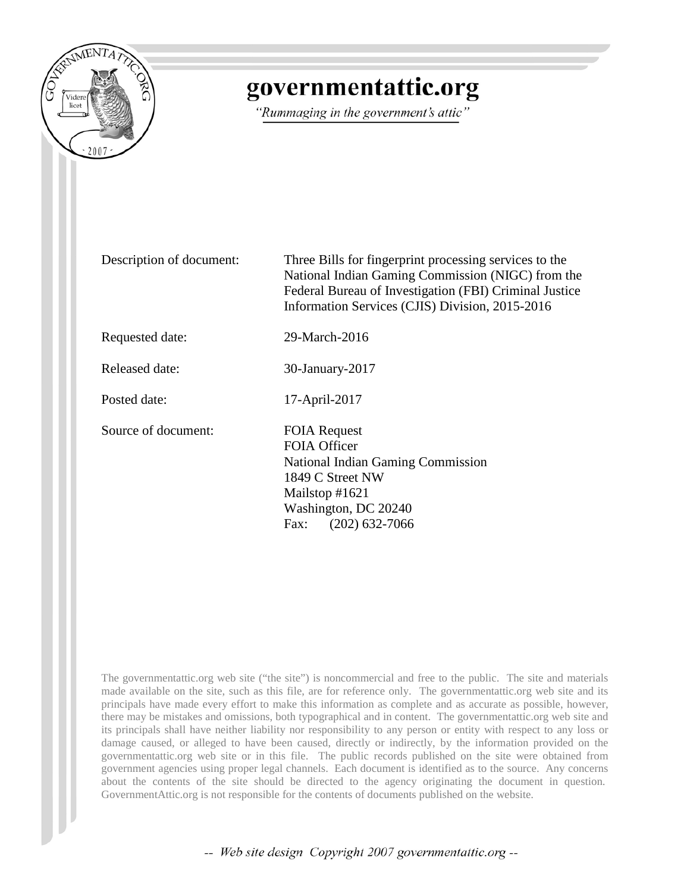

# governmentattic.org

"Rummaging in the government's attic"

Description of document: Three Bills for fingerprint processing services to the National Indian Gaming Commission (NIGC) from the Federal Bureau of Investigation (FBI) Criminal Justice Information Services (CJIS) Division, 2015-2016

Requested date: 29-March-2016

Released date: 30-January-2017

Posted date: 17-April-2017

Source of document: FOIA Request

FOIA Officer National Indian Gaming Commission 1849 C Street NW Mailstop #1621 Washington, DC 20240 Fax: (202) 632-7066

The governmentattic.org web site ("the site") is noncommercial and free to the public. The site and materials made available on the site, such as this file, are for reference only. The governmentattic.org web site and its principals have made every effort to make this information as complete and as accurate as possible, however, there may be mistakes and omissions, both typographical and in content. The governmentattic.org web site and its principals shall have neither liability nor responsibility to any person or entity with respect to any loss or damage caused, or alleged to have been caused, directly or indirectly, by the information provided on the governmentattic.org web site or in this file. The public records published on the site were obtained from government agencies using proper legal channels. Each document is identified as to the source. Any concerns about the contents of the site should be directed to the agency originating the document in question. GovernmentAttic.org is not responsible for the contents of documents published on the website.

-- Web site design Copyright 2007 governmentattic.org --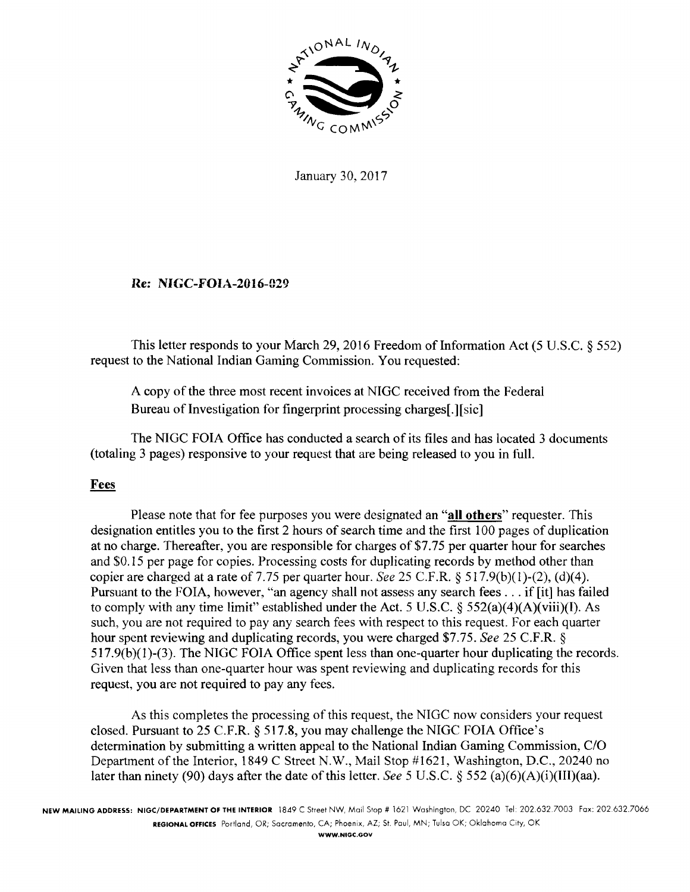

January 30, 2017

## Re: NIGC-FOIA-2016-029

This letter responds to your March 29, 2016 Freedom of Information Act (5 U.S.C.  $\S$  552) request to the National Indian Gaming Commission. You requested:

A copy of the three most recent invoices at NIGC received from the Federal Bureau of Investigation for fingerprint processing charges[.] [sic]

The NIGC FOIA Office has conducted a search of its files and has located 3 documents (totaling 3 pages) responsive to your request that are being released to you in full.

### Fees

Please note that for fee purposes you were designated an **"all others"** requester. This designation entitles you to the first 2 hours of search time and the first 100 pages of duplication at no charge. Thereafter, you are responsible for charges of \$7.75 per quarter hour for searches and \$0.15 per page for copies. Processing costs for duplicating records by method other than copier are charged at a rate of 7.75 per quarter hour. *See* 25 C.F.R. § 5 l 7.9(b)(l)-(2), (d)(4). Pursuant to the FOIA, however, "an agency shall not assess any search fees ... if [it] has failed to comply with any time limit" established under the Act. 5 U.S.C.  $\S$  552(a)(4)(A)(viii)(I). As such, you are not required to pay any search fees with respect to this request. For each quarter hour spent reviewing and duplicating records, you were charged \$7.75. *See* 25 C.F.R. § 517.9(b)(l)-(3). The NIGC FOIA Office spent less than one-quarter hour duplicating the records. Given that less than one-quarter hour was spent reviewing and duplicating records for this request, you are not required to pay any fees.

As this completes the processing of this request, the NIGC now considers your request closed. Pursuant to 25 C.F.R. § 517.8, you may challenge the NIGC FOIA Office's determination by submitting a written appeal to the National Indian Gaming Commission, C/O Department of the Interior, 1849 C Street N.W., Mail Stop #1621, Washington, D.C., 20240 no later than ninety (90) days after the date of this letter. *See* 5 U.S.C. § 552 (a)(6)(A)(i)(III)(aa).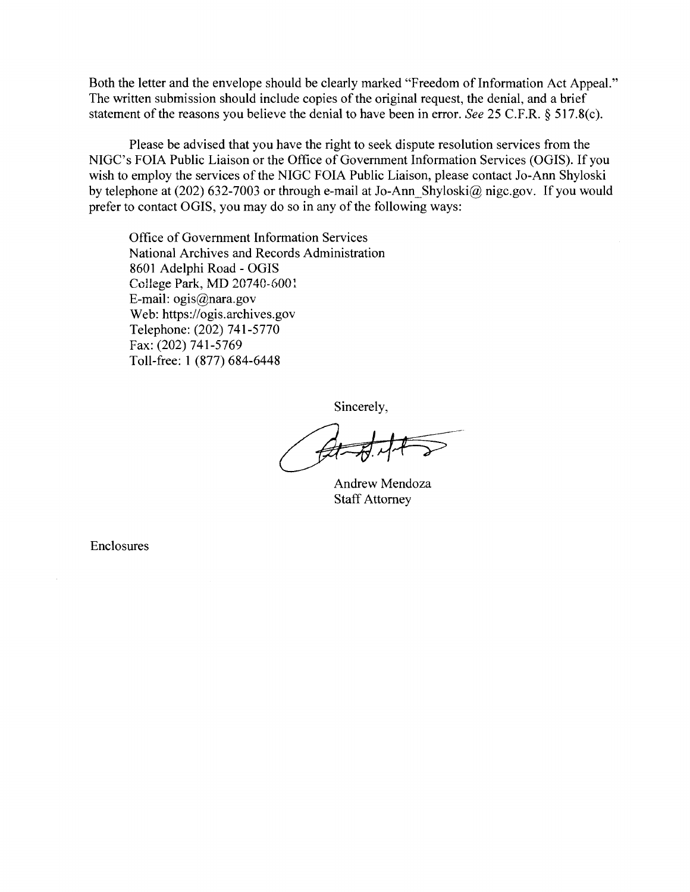Both the letter and the envelope should be clearly marked "Freedom of Information Act Appeal." The written submission should include copies of the original request, the denial, and a brief statement of the reasons you believe the denial to have been in error. *See* 25 C.F.R. § 517.8(c).

Please be advised that you have the right to seek dispute resolution services from the NIGC's FOIA Public Liaison or the Office of Government Information Services (OGIS). If you wish to employ the services of the NIGC FOIA Public Liaison, please contact Jo-Ann Shyloski by telephone at (202) 632-7003 or through e-mail at Jo-Ann\_Shyloski@nigc.gov. If you would prefer to contact OGIS, you may do so in any of the following ways:

Office of Government Information Services National Archives and Records Administration 8601 Adelphi Road - OGIS College Park, MD 20740-600! E-mail: ogis@nara.gov Web: https://ogis.archives.gov Telephone: (202) 741-5770 Fax: (202) 741-5769 Toll-free: 1 (877) 684-6448

Sincerely,

Andrew Mendoza Staff Attorney

Enclosures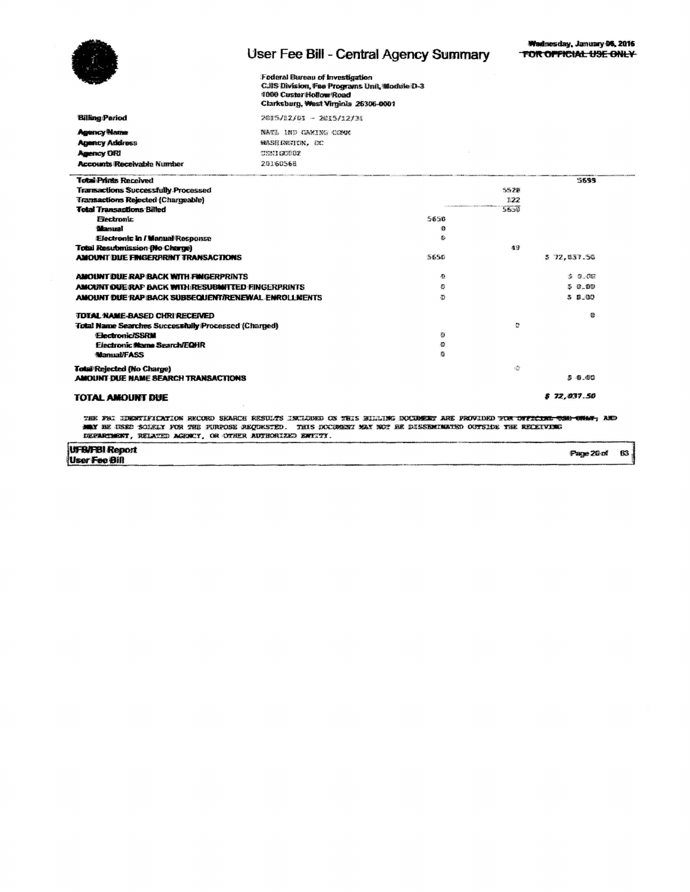**Billing Pariod Agency Name Agency Address Agency ORI** 

**Accounts Receivable Number** 

# User Fee Bill - Central Agency Summary

63

Federal Bureau of Investigation CJIS Division, Fee Programs Unit, Module D-3 1000 Custer Hollow Road Clarksburg, West Virginia 26306-0001

2015/12/01 - 2015/12/30

| NATL IND GAMING COMM |  |
|----------------------|--|
| MASHINGION. DC       |  |
| <b>CENIGORSZ</b>     |  |
| 20160568             |  |

| <b>Total Prints Received</b>                             |      |                                                                                                                                                                                                                                             | 5699        |
|----------------------------------------------------------|------|---------------------------------------------------------------------------------------------------------------------------------------------------------------------------------------------------------------------------------------------|-------------|
| <b>Transactions Successfully Processed</b>               |      | 5528                                                                                                                                                                                                                                        |             |
| <b>Transactions Rejected (Chargeable)</b>                |      | 122                                                                                                                                                                                                                                         |             |
| <b>Total Transactions Billed</b>                         |      | PRESIDENTATION CONTINUES IN A STATE OF A STATE OF A STATE OF A STATE OF A STATE OF A STATE OF A STATE OF A STATE OF A STATE OF A STATE OF A STATE OF A STATE OF A STATE OF A STATE OF A STATE OF A STATE OF A STATE OF A STATE<br>$56 - 10$ |             |
| <b>Electronic</b>                                        | 5650 |                                                                                                                                                                                                                                             |             |
| <b>Blanual</b>                                           | 播    |                                                                                                                                                                                                                                             |             |
| <b>Electronic In / Manual Response</b>                   | 亚    |                                                                                                                                                                                                                                             |             |
| <b>Total Resubmission (No Charge)</b>                    |      | 49                                                                                                                                                                                                                                          |             |
| <b>AMOUNT DUE FINGERFRINT TRANSACTIONS</b>               | 5650 |                                                                                                                                                                                                                                             | \$72,037.50 |
| AMOUNT DUE RAP BACK WITH FINGERPRINTS                    | Ω.   |                                                                                                                                                                                                                                             | 50.07       |
| <b>AMOUNT DUE RAP BACK WITH RESUBMITTED FINGERPRINTS</b> | O.   |                                                                                                                                                                                                                                             | 50.00       |
| AMOUNT DUE RAP BACK SUBSEQUENT/RENEWAL ENROLL MENTS      | Ð    |                                                                                                                                                                                                                                             | 50.00       |
| <b>TOTAL NAME-BASED CHRI RECEIVED</b>                    |      |                                                                                                                                                                                                                                             | Øħ          |
| Total Name Searches Successfully Processed (Charged)     |      | ø                                                                                                                                                                                                                                           |             |
| <b>Electronic/SSRM</b>                                   | 88   |                                                                                                                                                                                                                                             |             |
| <b>Electronic Name Search/EQHR</b>                       | Ð    |                                                                                                                                                                                                                                             |             |
| <b>Manual/FASS</b>                                       | G    |                                                                                                                                                                                                                                             |             |
| <b>Total Rejected (No Charge)</b>                        |      | 语                                                                                                                                                                                                                                           |             |
| AMOUNT DUE NAME SEARCH TRANSACTIONS                      |      |                                                                                                                                                                                                                                             | 5 5 00      |
| <b>TOTAL AMOUNT DUE</b>                                  |      |                                                                                                                                                                                                                                             | \$72,037.50 |

THE FAI IDENTIFICATION RECORD SEARCH RESULTS INCLUDED ON THIS BILLING DOCUMENT ARE PROVIDED TOR OFFICING OND ONLY, AND<br>MAY BE USED SOLKIY FOR THE FURPOSE REQUESTED. THIS DOCUMENT MAY NOT HE DISSEMINATED OUTSIDE THE RECEIVI

**UFB/FBI Report**<br>User Fee Bill Page 20 of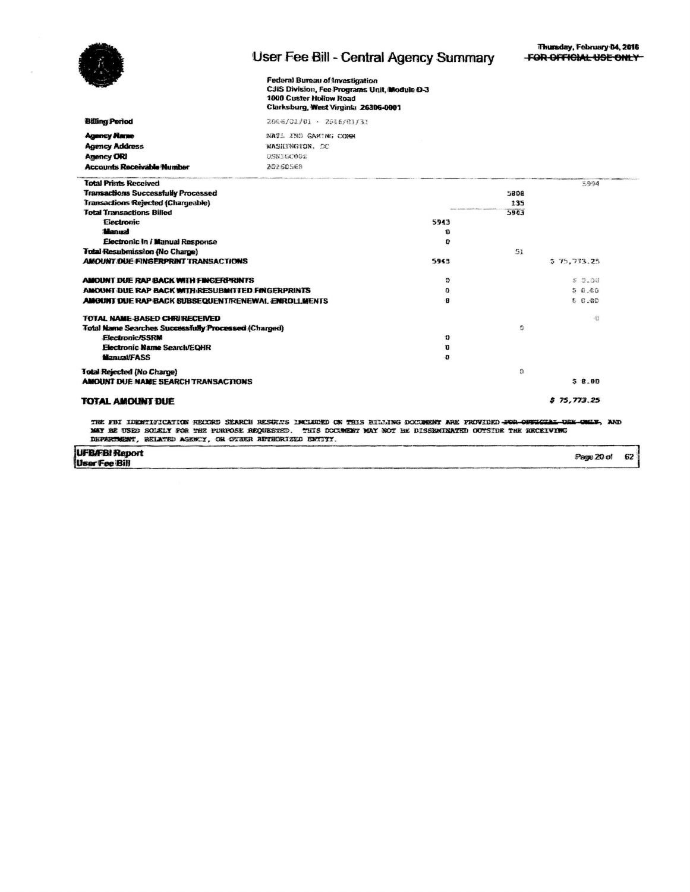

TOTAL AMOUNT DUE

## User Fee Bill - Central Agency Summary

Federal Bureau of Investigation<br>CJIS Division, Fee Programs Unit, Module D-3 1000 Custer Hollow Road Clarksburg, West Virginia 26306-0001

| <b>Billing Period</b>                                                                                 | 2086/01/01 - 2016/01/31                                                |              |       |                |
|-------------------------------------------------------------------------------------------------------|------------------------------------------------------------------------|--------------|-------|----------------|
| <b>Agency Name</b><br><b>Agency Address</b><br><b>Agency ORI</b><br><b>Accounts Receivable Number</b> | NATI IND GAMING COMM<br>WASHINGTON, DC<br><b>DSN10COO2</b><br>20260568 |              |       |                |
| <b>Total Prints Received</b>                                                                          |                                                                        |              |       | 5994           |
| <b>Transactions Successfully Processed</b>                                                            |                                                                        |              | 5808  |                |
| Transactions Rejected (Chargeable)                                                                    |                                                                        |              | 135   |                |
| <b>Total Transactions Billed</b>                                                                      |                                                                        |              | 5943  |                |
| Electronic                                                                                            |                                                                        | 5943         |       |                |
| <b>Manual</b>                                                                                         |                                                                        | ъ            |       |                |
| Electronic In / Manual Response                                                                       |                                                                        | U            |       |                |
| <b>Total Resubmission (No Charge)</b>                                                                 |                                                                        |              | 51    |                |
| <b>AMOUNT DUE FINGERPRINT TRANSACTIONS</b>                                                            |                                                                        | 5943         |       | 575,773.25     |
| AMOUNT DUE RAP BACK WITH FINGERPRINTS                                                                 |                                                                        | ۰            |       | <b>\$ 0.00</b> |
| AMOUNT DUE RAP BACK WITH RESUBMITTED FINGERPRINTS                                                     | o                                                                      |              | 50.00 |                |
| <b>AMOUNT DUE RAP BACK SUBSEQUENT/RENEWAL ENROLLMENTS</b>                                             |                                                                        | 18           |       | 5.6.00         |
| TOTAL NAME-BASED CHRIRECEIVED                                                                         |                                                                        |              |       | (注             |
| <b>Total Name Searches Successfully Processed (Charged)</b>                                           |                                                                        |              | Ð     |                |
| <b>Electronic/SSRM</b>                                                                                |                                                                        | n            |       |                |
| Electronic Name Search/EQHR                                                                           |                                                                        | $\mathbf{u}$ |       |                |
| <b>Manual/FASS</b>                                                                                    |                                                                        | o            |       |                |
| Total Rejected (No Charge)                                                                            |                                                                        |              | 籍     |                |
| <b>AMOUNT DUE NAME SEARCH TRANSACTIONS</b>                                                            |                                                                        |              |       | 50.00          |
| TOTAL AMOUNT DUE                                                                                      |                                                                        |              |       | 575.773.25     |

THE FBI IDENTIFICATION RECORD SEARCH RESORTS INCLUDED ON THIS RILLING DOCUMENT ARE FROVIDED FOR OFFICIAL DER ONLY, AND MAY BE USED SOLELY FOR THE PURPOSE REQUESTED. THIS DOCUMENT MAY ROT BE DISSEMIRATED OUTSIDE THE RECEIVING

**UFB/FBI Report**<br>User Fee Bill Page 20 of 62